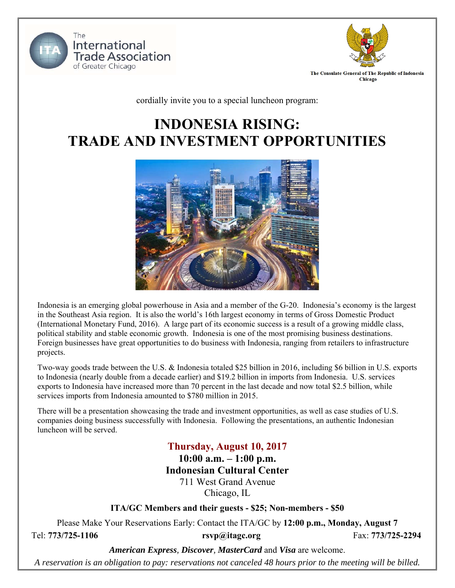



cordially invite you to a special luncheon program:

# **INDONESIA RISING: TRADE AND INVESTMENT OPPORTUNITIES**



Indonesia is an emerging global powerhouse in Asia and a member of the G-20. Indonesia's economy is the largest in the Southeast Asia region. It is also the world's 16th largest economy in terms of Gross Domestic Product (International Monetary Fund, 2016). A large part of its economic success is a result of a growing middle class, political stability and stable economic growth. Indonesia is one of the most promising business destinations. Foreign businesses have great opportunities to do business with Indonesia, ranging from retailers to infrastructure projects.

Two-way goods trade between the U.S. & Indonesia totaled \$25 billion in 2016, including \$6 billion in U.S. exports to Indonesia (nearly double from a decade earlier) and \$19.2 billion in imports from Indonesia. U.S. services exports to Indonesia have increased more than 70 percent in the last decade and now total \$2.5 billion, while services imports from Indonesia amounted to \$780 million in 2015.

There will be a presentation showcasing the trade and investment opportunities, as well as case studies of U.S. companies doing business successfully with Indonesia. Following the presentations, an authentic Indonesian luncheon will be served.

### **Thursday, August 10, 2017**

**10:00 a.m. – 1:00 p.m.** 

### **Indonesian Cultural Center**

711 West Grand Avenue Chicago, IL

**ITA/GC Members and their guests - \$25; Non-members - \$50** 

Please Make Your Reservations Early: Contact the ITA/GC by **12:00 p.m., Monday, August 7** 

Tel: **773/725-1106 rsvp@itagc.org** Fax: **773/725-2294**

*American Express, Discover, MasterCard* and *Visa* are welcome.

*A reservation is an obligation to pay: reservations not canceled 48 hours prior to the meeting will be billed.*